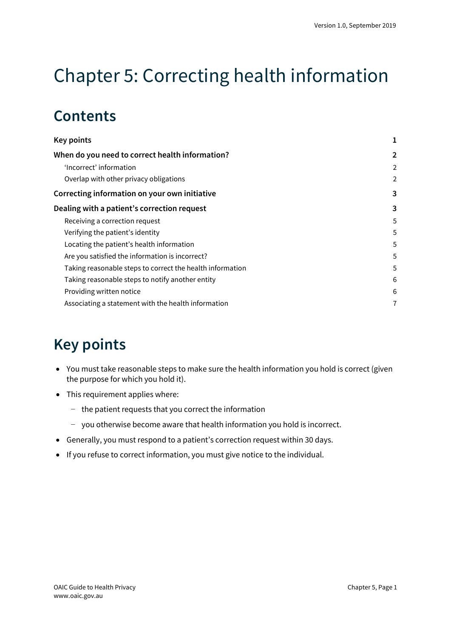# Chapter 5: Correcting health information

## **Contents**

| <b>Key points</b>                                         |                |
|-----------------------------------------------------------|----------------|
| When do you need to correct health information?           | $\overline{2}$ |
| 'Incorrect' information                                   | 2              |
| Overlap with other privacy obligations                    | 2              |
| Correcting information on your own initiative             | 3              |
| Dealing with a patient's correction request               | 3              |
| Receiving a correction request                            | 5              |
| Verifying the patient's identity                          | 5              |
| Locating the patient's health information                 | 5              |
| Are you satisfied the information is incorrect?           | 5              |
| Taking reasonable steps to correct the health information | 5              |
| Taking reasonable steps to notify another entity          | 6              |
| Providing written notice                                  | 6              |
| Associating a statement with the health information       | 7              |

## <span id="page-0-0"></span>**Key points**

- You must take reasonable steps to make sure the health information you hold is correct (given the purpose for which you hold it).
- This requirement applies where:
	- − the patient requests that you correct the information
	- − you otherwise become aware that health information you hold is incorrect.
- Generally, you must respond to a patient's correction request within 30 days.
- If you refuse to correct information, you must give notice to the individual.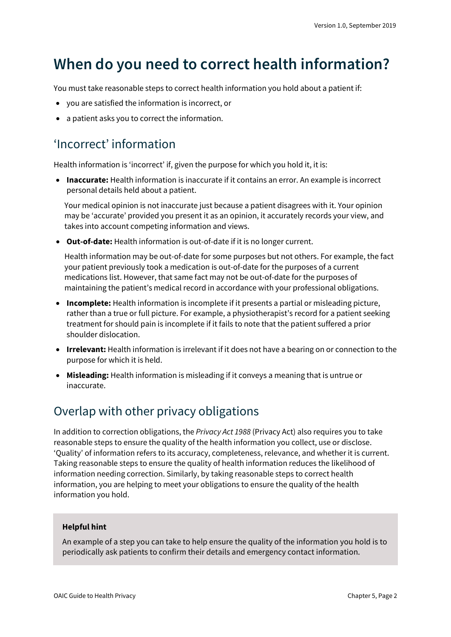### <span id="page-1-0"></span>**When do you need to correct health information?**

You must take reasonable steps to correct health information you hold about a patient if:

- you are satisfied the information is incorrect, or
- a patient asks you to correct the information.

### <span id="page-1-1"></span>'Incorrect' information

Health information is 'incorrect' if, given the purpose for which you hold it, it is:

• **Inaccurate:** Health information is inaccurate if it contains an error. An example is incorrect personal details held about a patient.

Your medical opinion is not inaccurate just because a patient disagrees with it. Your opinion may be 'accurate' provided you present it as an opinion, it accurately records your view, and takes into account competing information and views.

• **Out-of-date:** Health information is out-of-date if it is no longer current.

Health information may be out-of-date for some purposes but not others. For example, the fact your patient previously took a medication is out-of-date for the purposes of a current medications list. However, that same fact may not be out-of-date for the purposes of maintaining the patient's medical record in accordance with your professional obligations.

- **Incomplete:** Health information is incomplete if it presents a partial or misleading picture, rather than a true or full picture. For example, a physiotherapist's record for a patient seeking treatment for should pain is incomplete if it fails to note that the patient suffered a prior shoulder dislocation.
- **Irrelevant:** Health information is irrelevant if it does not have a bearing on or connection to the purpose for which it is held.
- **Misleading:** Health information is misleading if it conveys a meaning that is untrue or inaccurate.

### <span id="page-1-2"></span>Overlap with other privacy obligations

In addition to correction obligations, the *Privacy Act 1988* (Privacy Act) also requires you to take reasonable steps to ensure the quality of the health information you collect, use or disclose. 'Quality' of information refers to its accuracy, completeness, relevance, and whether it is current. Taking reasonable steps to ensure the quality of health information reduces the likelihood of information needing correction. Similarly, by taking reasonable steps to correct health information, you are helping to meet your obligations to ensure the quality of the health information you hold.

#### **Helpful hint**

An example of a step you can take to help ensure the quality of the information you hold is to periodically ask patients to confirm their details and emergency contact information.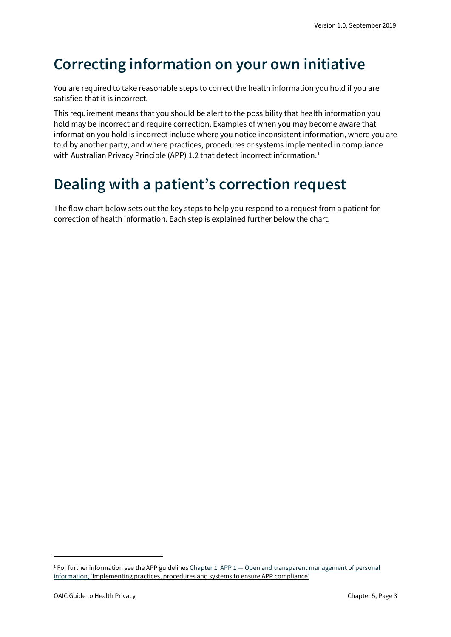### <span id="page-2-0"></span>**Correcting information on your own initiative**

You are required to take reasonable steps to correct the health information you hold if you are satisfied that it is incorrect.

This requirement means that you should be alert to the possibility that health information you hold may be incorrect and require correction. Examples of when you may become aware that information you hold is incorrect include where you notice inconsistent information, where you are told by another party, and where practices, procedures or systems implemented in compliance with Australian Privacy Principle (APP) 1.2 that detect incorrect information. [1](#page-2-2)

### <span id="page-2-1"></span>**Dealing with a patient's correction request**

The flow chart below sets out the key steps to help you respond to a request from a patient for correction of health information. Each step is explained further below the chart.

<span id="page-2-2"></span><sup>&</sup>lt;sup>1</sup> For further information see the APP guidelines  $Chapter 1: APP 1 — Open and transparent management of personal$ </u> [information,](https://oaic.gov.au/privacy/australian-privacy-principles-guidelines/chapter-1-app-1-open-and-transparent-management-of-personal-information/#implementing-practices-procedures-and-systems-to-ensure-app-compliance) 'Implementing practices, procedures and systems to ensure APP compliance'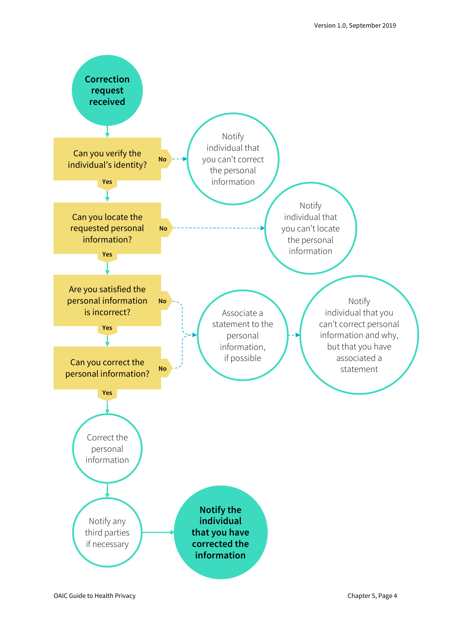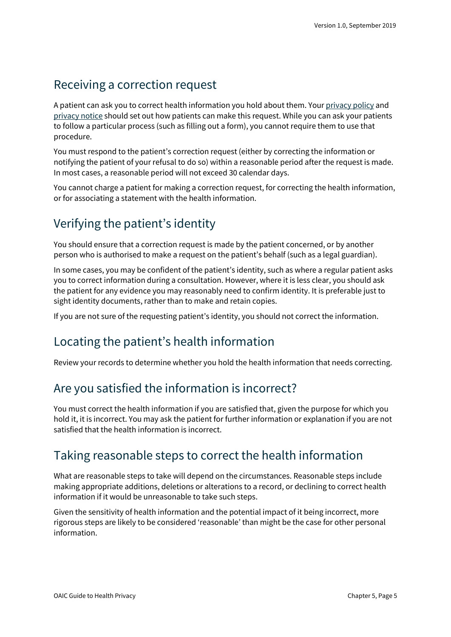#### <span id="page-4-0"></span>Receiving a correction request

A patient can ask you to correct health information you hold about them. You[r privacy policy](https://oaic.gov.au/privacy/guidance-and-advice/guide-to-health-privacy/chapter-1-key-steps-to-embedding-privacy-in-your-health-practice/#step-6-create-an-app-privacy-policy) and [privacy notice](https://oaic.gov.au/privacy/guidance-and-advice/guide-to-health-privacy/chapter-2-collecting-health-information/#notifying-patients-of-collection-privacy-notices) should set out how patients can make this request. While you can ask your patients to follow a particular process (such as filling out a form), you cannot require them to use that procedure.

You must respond to the patient's correction request (either by correcting the information or notifying the patient of your refusal to do so) within a reasonable period after the request is made. In most cases, a reasonable period will not exceed 30 calendar days.

You cannot charge a patient for making a correction request, for correcting the health information, or for associating a statement with the health information.

### <span id="page-4-1"></span>Verifying the patient's identity

You should ensure that a correction request is made by the patient concerned, or by another person who is authorised to make a request on the patient's behalf (such as a legal guardian).

In some cases, you may be confident of the patient's identity, such as where a regular patient asks you to correct information during a consultation. However, where it is less clear, you should ask the patient for any evidence you may reasonably need to confirm identity. It is preferable just to sight identity documents, rather than to make and retain copies.

If you are not sure of the requesting patient's identity, you should not correct the information.

### <span id="page-4-2"></span>Locating the patient's health information

Review your records to determine whether you hold the health information that needs correcting.

#### <span id="page-4-3"></span>Are you satisfied the information is incorrect?

You must correct the health information if you are satisfied that, given the purpose for which you hold it, it is incorrect. You may ask the patient for further information or explanation if you are not satisfied that the health information is incorrect.

#### <span id="page-4-4"></span>Taking reasonable steps to correct the health information

What are reasonable steps to take will depend on the circumstances. Reasonable steps include making appropriate additions, deletions or alterations to a record, or declining to correct health information if it would be unreasonable to take such steps.

Given the sensitivity of health information and the potential impact of it being incorrect, more rigorous steps are likely to be considered 'reasonable' than might be the case for other personal information.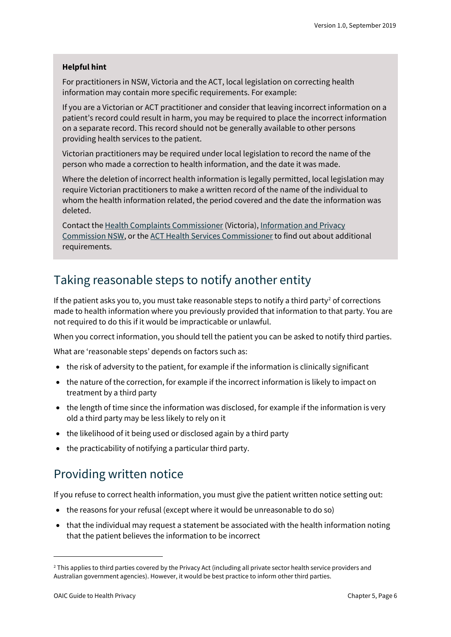#### **Helpful hint**

For practitioners in NSW, Victoria and the ACT, local legislation on correcting health information may contain more specific requirements. For example:

If you are a Victorian or ACT practitioner and consider that leaving incorrect information on a patient's record could result in harm, you may be required to place the incorrect information on a separate record. This record should not be generally available to other persons providing health services to the patient.

Victorian practitioners may be required under local legislation to record the name of the person who made a correction to health information, and the date it was made.

Where the deletion of incorrect health information is legally permitted, local legislation may require Victorian practitioners to make a written record of the name of the individual to whom the health information related, the period covered and the date the information was deleted.

Contact th[e Health Complaints Commissioner](https://hcc.vic.gov.au/) (Victoria), [Information and Privacy](https://www.ipc.nsw.gov.au/)  [Commission NSW,](https://www.ipc.nsw.gov.au/) or th[e ACT Health Services Commissioner](http://hrc.act.gov.au/health/) to find out about additional requirements.

#### <span id="page-5-0"></span>Taking reasonable steps to notify another entity

If the patient asks you to, you must take reasonable steps to notify a third party<sup>[2](#page-5-2)</sup> of corrections made to health information where you previously provided that information to that party. You are not required to do this if it would be impracticable or unlawful.

When you correct information, you should tell the patient you can be asked to notify third parties.

What are 'reasonable steps' depends on factors such as:

- the risk of adversity to the patient, for example if the information is clinically significant
- the nature of the correction, for example if the incorrect information is likely to impact on treatment by a third party
- the length of time since the information was disclosed, for example if the information is very old a third party may be less likely to rely on it
- the likelihood of it being used or disclosed again by a third party
- the practicability of notifying a particular third party.

#### <span id="page-5-1"></span>Providing written notice

If you refuse to correct health information, you must give the patient written notice setting out:

- the reasons for your refusal (except where it would be unreasonable to do so)
- that the individual may request a statement be associated with the health information noting that the patient believes the information to be incorrect

<span id="page-5-2"></span><sup>&</sup>lt;sup>2</sup> This applies to third parties covered by the Privacy Act (including all private sector health service providers and Australian government agencies). However, it would be best practice to inform other third parties.